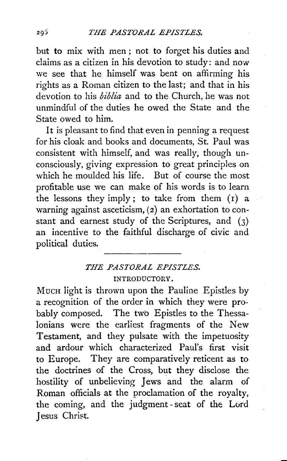but to mix with men ; not to forget his duties and claims as a citizen in his devotion to study: and now we see that he himself was bent on affirming his rights as a Roman citizen to the last; and that in his devotion to his *biblia* and to the Church, he was not unmindful of the duties he owed the State and the State owed to him.

It is pleasant to find that even in penning a request for his cloak and books and documents, St. Paul was consistent with himself, and was really, though unconsciously, giving expression to great principles on which he moulded his life. But of course the most profitable use we can make of his words is to learn the lessons they imply; to take from them  $(I)$  a warning against asceticism, (2) an exhortation to constant and earnest study of the Scriptures, and  $(3)$ an incentive to the faithful discharge of civic and political duties.

## *THE PASTORAL EPISTLES.*  INTRODUCTORY.

MucH light is thrown upon the Pauline Epistles by a recognition of the order in which they were probably composed. The two Epistles to the Thessalonians were the earliest fragments of the New Testament, and they pulsate with the impetuosity and ardour which characterized Paul's first visit to Europe. They are comparatively reticent as to the doctrines of the Cross, but they disclose the hostility of unbelieving Jews and the alarm of Roman officials at the proclamation of the royalty, the coming, and the judgment-seat of the Lord Jesus Christ.

295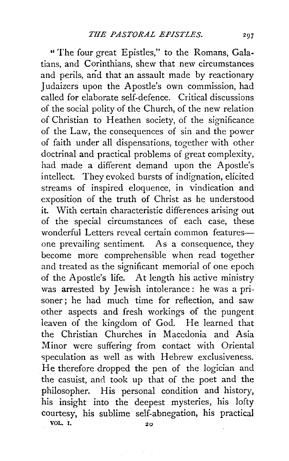" The four great Epistles," to the Romans, Galatians, and Corinthians, shew that new circumstances and perils, and that an assault made by reactionary Judaizers upon the Apostle's own commission, had called for elaborate self-defence. Critical discussions of the social polity of the Church, of the new relation of Christian to Heathen society, of the significance of the Law, the consequences of sin and the power of faith under all dispensations, together with other doctrinal and practical problems of great complexity, had made a different demand upon the Apostle's intellect. They evoked bursts of indignation, elicited streams of inspired eloquence, in vindication and exposition of the truth of Christ as he understood it. With certain characteristic differences arising out of the special circumstances of each case, these wonderful Letters reveal certain common featuresone prevailing sentiment. As a consequence, they become more comprehensible when read together and treated as the significant memorial of one epoch of the Apostle's life. At length his active ministry was arrested by Jewish intolerance : he was a prisoner; he had much time for reflection, and saw other aspects and fresh workings of the pungent leaven of the kingdom of God. He learned that the Christian Churches in Macedonia and Asia Minor were suffering from contact with Oriental speculation as well as with Hebrew exclusiveness. He therefore dropped the pen of the logician and the casuist, and took up that of the poet and the philosopher. His personal condition and history, his insight into the deepest mysteries, his lofty courtesy, his sublime self-abnegation, his practical VOL. I.  $20$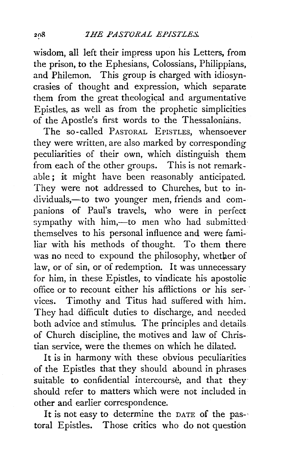wisdom, all left their impress upon his Letters, from the prison, to the Ephesians, Colossians, Philippians, and Philemon. This group is charged with idiosyncrasies of thought and expression, which separate them from the great theological and argumentative Epistles, as well as from the prophetic simplicities of the Apostle's first words to the Thessalonians.

The so-called PASTORAL EPISTLES, whensoever they were written, are also marked by corresponding peculiarities of their own, which distinguish them from each of the other groups. This is not remarkable ; it might have been reasonably anticipated. They were not addressed to Churches, but to individuals,-to two younger men, friends and companions of Paul's travels, who were in perfect sympathy with him,--to men who had submitted themselves to his personal influence and were familiar with his methods of thought. To them there was no need to expound the philosophy, whether of law, or of sin, or of redemption. It was unnecessary for him, in these Epistles, to vindicate his apostolic office or to recount either his afflictions or his services. Timothy and Titus had suffered with him. They had difficult duties to discharge, and needed both advice and stimulus. The principles and details of Church discipline, the motives and law of Christian service, were the themes on which he dilated.

It is in harmony with these obvious peculiarities of the Epistles that they should abound in phrases suitable to confidential intercourse, and that they should refer to matters which were not included in other and earlier correspondence.

It is not easy to determine the DATE of the pas-· toral Epistles. Those critics who do not question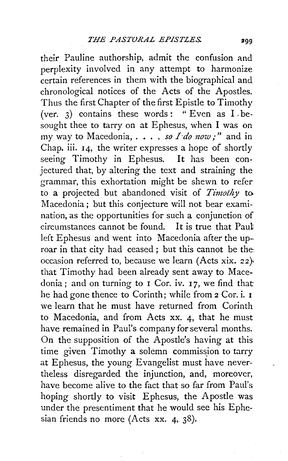their Pauline authorship, admit the confusion and perplexity involved in any attempt to harmonize certain references in them with the biographical and chronological notices of the Acts of the Apostles. Thus the first Chapter of the first Epistle to Timothy (ver. 3) contains these words: " Even as  $I.b$ esought thee to tarry on at Ephesus, when I was on my way to Macedonia, . . . . *so I do now;*" and in Chap. iii. 14, the writer expresses a hope of shortly seeing Timothy in Ephesus. It has been conjectured that, by altering the text and straining the grammar, this exhortation might be shewn to refer to a projected but abandoned visit of *Timothy* to Macedonia; but this conjecture will not bear examination, as the opportunities for such a conjunction of circumstances cannot be found. It is true that Paut left Ephesus and went into Macedonia after the uproar in that city had ceased; but this cannot be the occasion referred to, because we learn (Acts xix. 22)• that Timothy had been already sent away to Macedonia; and on turning to  $I$  Cor. iv. 17, we find that he had gone thence to Corinth; while from 2 Cor. i. 1 we learn that he must have returned from Corinth to Macedonia, and from Acts xx. 4, that he must have remained in Paul's company for several months. On the supposition of the Apostle's having at this time given Timothy a solemn commission to tarry at Ephesus, the young Evangelist must have nevertheless disregarded the injunction, and, moreover, have become alive to the fact that so far from Paul's hoping shortly to visit Ephesus, the Apostle was under the presentiment that he would see his Ephesian friends no more (Acts xx. 4, 38).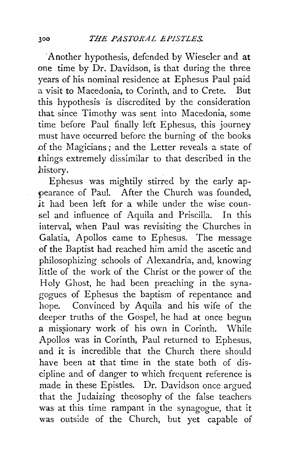·Another hypothesis, defended by Wieseler and at one time by Dr. Davidson, is that during the three years of his nominal residence at Ephesus Paul paid a visit to Macedonia, to Corinth, and to Crete. But this hypothesis is discredited by the consideration that since Timothy was sent into Macedonia, some time before Paul finally left Ephesus, this journey must have occurred before the burning of the books of the Magicians ; and the Letter reveals a state of things extremely dissimilar to that described in the history.

Ephesus was mightily stirred by the early ap pearance of Paul. After the Church was founded, *it* had been left for a while under the wise counsel and influence of Aquila and Priscilla. In this interval, when Paul was revisiting the Churches in Galatia, Apollos came to Ephesus. The message of the Baptist had reached him amid the ascetic and philosophizing schools of Alexandria, and, knowing little of the work of the Christ or the power of the Holy Ghost, he had been preaching in the synagogues of Ephesus the baptism of repentance and hope. Convinced by Aquila and his wife of the deeper truths of the Gospel, he had at once begun a missionary work of his own in Corinth. While Apollos was in Corinth, Paul returned to Ephesus, and it is incredible that the Church there should have been at that time in the state both of discipline and of danger to which frequent reference is made in these Epistles. Dr. Davidson once argued that the Judaizing theosophy of the false teachers was at this time rampant in the synagogue, that it was outside of the Church, but yet capable of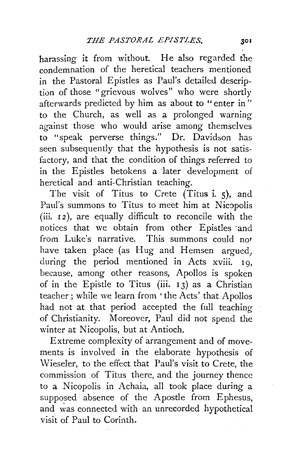harassing it from without. He also regarded the condemnation of the heretical teachers mentioned in the Pastoral Epistles as Paul's detailed description of those "grievous wolves" who were shortly afterwards predicted by him as about to "enter in" to the Church, as well as a prolonged warning against those who would arise among themselves to "speak perverse things." Dr. Davidson has seen subsequently that the hypothesis is not satisfactory, and that the condition of things referred to in the Epistles betokens a later development of heretical and anti-Christian teaching.

The visit of Titus to Crete (Titus i. 5), and Paul's summons to Titus to meet him at Nicopolis (iii. 12), are equally difficult to reconcile with the notices that we obtain from other Epistles ·and from Luke's narrative. This summons could not have taken place (as Hug and Hemsen argued, during the period mentioned in Acts xviii. 19, because, among other reasons, Apollos is spoken of in the Epistle to Titus (iii. 13) as a Christian teacher; while we learn from 'the Acts' that Apollos had not at that period accepted the full teaching of Christianity. Moreover, Paul did not spend the winter at Nicopolis, but at Antioch.

Extreme complexity of arrangement and of movements is involved in the elaborate hypothesis of \Vieseler, to the effect that Paul's visit to Crete, the commission of Titus there, and the journey thence to a Nicopolis in Achaia, all took place during a supposed absence of the Apostle from Ephesus, and was connected with an unrecorded hypothetical visit of Paul to Corinth.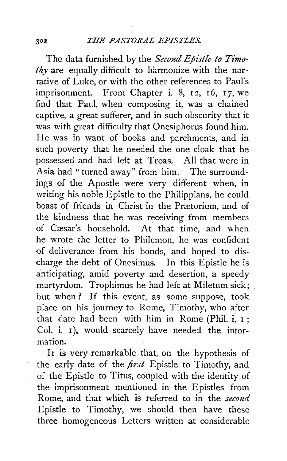The data furnished by the *Second Epistle to Timo*thy are equally difficult to harmonize with the narrative of Luke, or with the other references to Paul's imprisonment. From' Chapter i. 8, 12, 16, 17, we find that Paul, when composing it, was a chained captive, a great sufferer, and in such obscurity that it was with great difficulty that Onesiphorus found him. He was in want of books and parchments, and in such poverty that he needed the one cloak that he possessed and had left at Troas. All that were in Asia had" turned away" from him. The surroundings of the Apostle were very different when, in writing his noble Epistle to the Philippians, he could boast of friends in Christ in the Prætorium, and of the kindness that he was receiving from members of Cæsar's household. At that time, and when he wrote the letter to Philemon, he was confident of deliverance from his bonds, and hoped to discharge the debt of Onesimus. In this Epistle he is anticipating, amid poverty and desertion, a speedy martyrdom. Trophimus he had left at Miletum sick; but when ? If this event, as some suppose, took place on his journey to Rome, Timothy, who after that date had been with him in Rome (Phil. i. 1 ; Col. i.  $I$ ), would scarcely have needed the information.

It is very remarkable that, on the hypothesis of the early date of the *first* Epistle to Timothy, and ' of the Epistle to Titus, coupled with the identity of the imprisonment mentioned in the Epistles from Rome, and that which is referred to in the *second*  Epistle to Timothy, we should then have these three homogeneous Letters written at considerable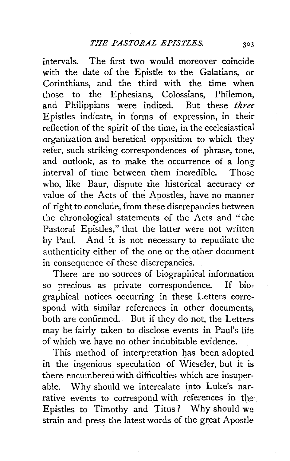intervals. The first two would moreover coincide with the date of the Epistle to the Galatians, or Corinthians, and the third with the time when those to the Ephesians, Colossians, Philemon, and Philippians were indited. But these *three*  Epistles indicate, in forms of expression, in their reflection of the spirit of the time, in the ecclesiastical organization and heretical opposition to which they refer, such striking correspondences of phrase, tone, and outlook, as to make the occurrence of a long interval of time between them incredible. Those who, like Baur, dispute the historical accuracy or value of the Acts of the Apostles, have no manner of right to conclude, from these discrepancies between the chronological statements of the Acts and "the Pastoral Epistles," that the latter were not written by Paul. And it is not necessary to repudiate the authenticity either of the one or the other document in consequence of these discrepancies.

There are no sources of biographical information so precious as private correspondence. If biographical notices occurring in these Letters correspond with similar references in other documents, both are confirmed. But if they do not, the Letters may be fairly taken to disclose events in Paul's life of which we have no other indubitable evidence.

This method of interpretation has been adopted in the ingenious speculation of Wieseler, but it is there encumbered with difficulties which are insuperable. Why should we intercalate into Luke's narrative events to correspond with references in the Epistles to Timothy and Titus ? Why should we strain and press the latest words of the great Apostle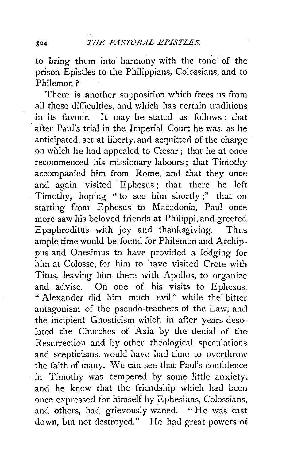to bring them into harmony with the tone of the prison-Epistles to the Philippians, Colossians, and to Philemon?

There is another supposition which frees us from all these difficulties, and \vhich has certain traditions in its favour. It may be stated as follows : that after Paul's trial in the Imperial Court he was, as he anticipated, set at liberty, and acquitted of the charge on which he had appealed to Cæsar; that he at once recommenced his missionary labours ; that Timothy accompanied him from Rome, and that they once and again visited Ephesus; that there he left Timothy, hoping "to see him shortly ;" that on starting from Ephesus to Macedonia, Paul once more saw his beloved friends at Philippi, and greeted<br>Epaphroditus with joy and thanksgiving. Thus Epaphroditus with joy and thanksgiving. ample time would be found for Philemon and Archippus and Onesimus to have provided a lodging for him at Colosse, for him to have visited Crete with Titus, leaving him there with Apollos, to organize and advise. On one of his visits to Ephesus, " Alexander did him much evil," while the bitter antagonism of the pseudo-teachers of the Law, and the incipient Gnosticism which in after years desolated the Churches of Asia by the denial of the Resurrection and by other theological speculations and scepticisms, would have had time to overthrow the faith of many. We can see that Paul's confidence in Timothy was tempered by some little anxiety. and he. knew that the friendship which had been once expressed for himself by Ephesians, Colossians, and others, had grievously waned. "He was cast down, but not destroyed." He had great powers of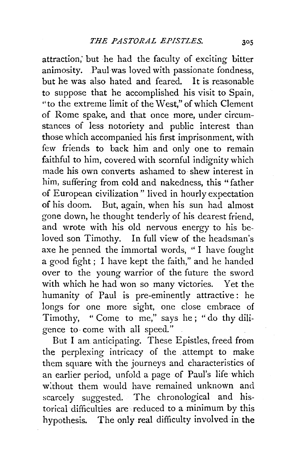attraction; but he had the faculty of exciting bitter animosity. .Paul was loved with passionate fondness, but he was also hated and feared. It is reasonable to suppose that he accomplished his visit to Spain, "to the extreme limit of the West," of which Clement of Rome spake, and that once more, under circumstances of less notoriety and public interest than those which accompanied his first imprisonment, with few friends to back him and only one to remain faithful to him, covered with scornful indignity which made his own converts ashamed to shew interest in him, suffering from cold and nakedness, this " father of European civilization" lived in hourly expectation of his doom. But, again, when his sun had almost gone down, he thought tenderly of his dearest friend, and wrote with his old nervous energy to his beloved son Timothy. In full view of the headsman's axe he penned the immortal words, " I have fought a good fight ; I have kept the faith," and he handed over to the young warrior of the future the sword with which he had won so many victories. Yet the humanity of Paul is pre-eminently attractive: he longs for one more sight, one close embrace of Timothy, "Come to me," says he; "do thy diligence to· come with all speed."

But I am anticipating. These Epistles, freed from the perplexing intricacy of the attempt to make them square with the journeys and characteristics of an earlier period, unfold a page of Paul's life which w:thout them would have remained unknown and scarcely suggested. The chronological and historical difficulties are reduced to a minimum by this hypothesis. The only real difficulty involved in the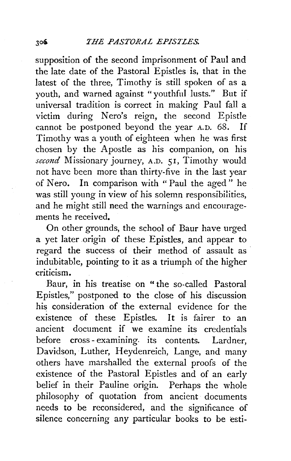supposition of the second imprisonment of Paul and the late date of the Pastoral Epistles is, that in the latest of the three, Timothy is still spoken of as a youth, and warned against "youthful lusts." But if universal tradition is correct in making Paul fall a victim during Nero's reign, the second Epistle cannot be postponed beyond the year A.D. 68. If Timothy was a youth of eighteen when he was first chosen by the Apostle as his companion, on his *second* Missionary journey, A.D. 51, Timothy would not have been more than thirty-five in the last year of Nero. In comparison with " Paul the aged" he was still young in view of his solemn responsibilities, and he might still need the warnings and encouragements he received.

On other grounds, the school of Baur have urged a yet later origin of these Epistles, and appear to regard the success of their method of assault as indubitable, pointing to it as a triumph of the higher criticism.

Baur, in his treatise on "the so-called Pastoral Epistles," postponed to the close of his discussion his consideration of the external evidence for the existence of these Epistles. It is fairer to an ancient document if we examine its credentials before cross - examining. its contents. Lardner, Davidson, Luther, Heydenreich, Lange, and many others have marshalled the external proofs of the existence of the Pastoral Epistles and of an early belief in their Pauline origin. Perhaps the whole philosophy of quotation from ancient documents needs to be reconsidered, and the significance of silence concerning any particular books to be esti-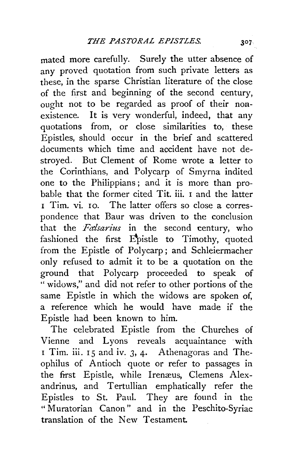mated more carefully. Surely the utter absence of any proved quotation from such private letters as these, in the sparse Christian literature of the close of the first and beginning of the second century, ought not to be regarded as proof of their nonexistence. It is very wonderful, indeed, that any quotations from, or close similarities to, these Epistles, should occur in the brief and scattered documents which time and accident have not destroyed. But Clement of Rome wrote a letter to the Corinthians, and Polycarp of Smyrna indited one to the Philippians ; and it is more than probable that the former cited Tit. iii. 1 and the latter 1 Tim. vi. IO. The latter offers so close a correspondence that Baur was driven to the conclusion that the *Falsarius* in the second century, who fashioned the first Epistle to Timothy, quoted from the Epistle of Polycarp; and Schleiermacher only refused to admit it to be a quotation on the ground that Polycarp proceeded to speak of " widows," and did not refer to other portions of the same Epistle in which the widows are spoken of, a reference which he would have made if the Epistle had been known to him.

The celebrated Epistle from the Churches of Vienne and Lyons reveals acquaintance with 1 Tim. iii. 15 and iv. 3, 4. Athenagoras and Theophilus of Antioch quote or refer to passages in the first Epistle, while Irenæus, Clemens Alexandrinus, and Tertullian emphatically refer the Epistles to St. Paul. They are found in the " Muratorian Canon" and in the Peschito-Syriac translation of the New Testament.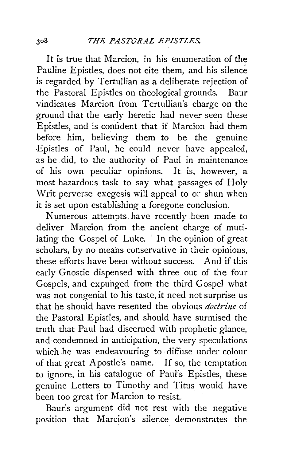It is true that Marcion, in his enumeration of the Pauline Epistles, does not cite them, and his silence is regarded by Tertullian as a deliberate rejection of the Pastoral Epistles on theological grounds. Baur vindicates Marcion from Tertullian's charge on the ground that the early heretic had never seen these Epistles, and is confident that if Marcion had them before him, believing them to be the genuine -Epistles of Paul, he could never have appealed, as he did, to the authority of Paul in maintenance of his own peculiar opinions. It is, however, a most hazardous task to say what passages of Holy Writ perverse exegesis will appeal to or shun when it is set upon establishing a foregone conclusion.

Numerous attempts have recently been made to deliver Marcion from the ancient charge of mutilating the Gospel of Luke. ' In the opinion of great scholars, by no means conservative in their opinions. these efforts have been without success. And if this early Gnostic dispensed with three out of the four Gospels, and expunged from the third Gospel what was not congenial to his taste, it need not surprise us that he should have resented the obvious *doctrine* of the Pastoral Epistles, and should have surmised the truth that Paul had discerned with prophetic glance, and condemned in anticipation, the very speculations which he was endeavouring to diffuse under colour of that great Apostle's name. If so, the temptation to ignore, in his catalogue of Paul's Epistles, these genuine Letters to Timothy and Titus wouid have been too great for Marcion to resist.

Baur's argument did not rest with the negative position that Marcion's silence demonstrates the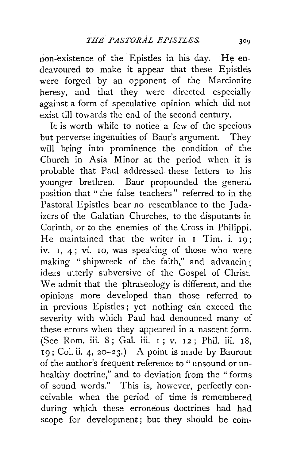non-existence of the Epistles in his day. He endeavoured to make it appear that these Epistles were forged by an opponent of the Marcionite heresy, and that they were directed especially against a form of speculative opinion which did not exist till towards the end of the second century.

It is worth while to notice a few of the specious but perverse ingenuities of Baur's argument. They will bring into prominence the condition of the Church in Asia Minor at the period when it is probable that Paul addressed these letters to his younger brethren. Baur propounded the general position that "the false teachers" referred to in the Pastoral Epistles bear no resemblance to the Judaizers of the Galatian Churches, to the disputants in Corinth, or to the enemies of the Cross in Philippi. He maintained that the writer in I Tim. i. 19; iv. 1, 4; vi. 10, was speaking of those who were making "shipwreck of the faith," and advancing ideas utterly subversive of the Gospel of Christ. We admit that the phraseology is different, and the opinions more developed than those referred to in previous Epistles ; yet nothing can exceed the severity with which Paul had denounced many of these errors when they appeared in a nascent form. (See Rom. iii. 8 ; Gal. iii. I ; v. 1 2 ; Phil. iii. 18, 19; Col. ii. 4, 20-23.) A point is made by Baurout of the author's frequent reference to "unsound or unhealthy doctrine," and to deviation from the " forms of sound words." This is, however, perfectly conceivable when the period of time is remembered during which these erroneous doctrines had had scope for development; but they should be com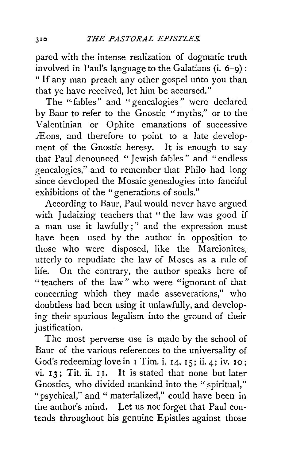pared with the intense realization of dogmatic truth involved in Paul's language to the Galatians (i. 6-9) : " If any man preach any other gospel unto you than that ye have received, let him be accursed."

The " fables" and " genealogies " were declared by Baur to refer to the Gnostic " myths," or to the Valentinian or Ophite emanations of successive Æons, and therefore to point to a late development of the Gnostic heresy. It is enough to say that Paul denounced " Jewish fables" and " endless genealogies," and to remember that Philo had long since developed the Mosaic genealogies into fanciful exhibitions of the "generations of souls."

According to Baur, Paul would never have argued with Judaizing teachers that " the law was good if a man use it lawfully;" and the expression must have been used by the author in opposition to those who were disposed, like the Marcionites, utterly to repudiate the law of Moses as a rule of life. On the contrary, the author speaks here of "teachers of the law" who were "ignorant of that concerning which they made asseverations," who doubtless had been using it unlawfully, and developing their spurious legalism into the ground of their justification.

The most perverse use is made by the school of Baur of the various references to the universality of God's redeeming love in  $I$  Tim. i.  $I$ 4,  $I$ 5; ii. 4; iv.  $I$ o; vi. 13: Tit. ii. II. It is stated that none but later Gnostics, who divided mankind into the " spiritual," "psychical," and " materialized," could have been in the author's mind. Let us not forget that Paul contends throughout his genuine Epistles against those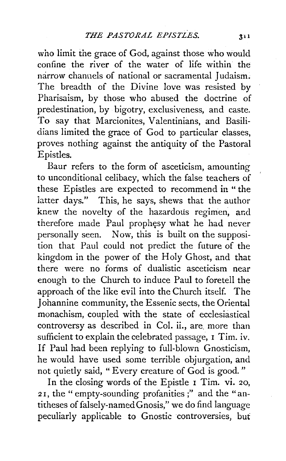who limit the grace of God, against those who would confine the river of the water of life within the narrow channels of national or sacramental Judaism. The breadth of the Divine love was resisted by Pharisaism, by those who abused the doctrine of predestination, by bigotry, exclusiveness, and caste. To say that Marcionites, Valentinians, and Basilidians limited the grace of God to particular classes, proves nothing against the antiquity of the Pastoral Epistles.

Baur refers to the form of asceticism, amounting to unconditional celibacy, which the false teachers of these Epistles are expected to recommend in "the iatter days." This, he says, shews that the author knew the novelty of the hazardous regimen, and therefore made Paul prophesy what he had never personally seen. Now, this is built on the supposition that Paul could not predict the future of the kingdom in the power of the Holy Ghost, and that there were no forms of dualistic asceticism near enough to the Church to induce Paul to foretell the approach of the like evil into the Church itself. The Johannine community, the Essenic sects, the Oriental monachism, coupled with the state of ecclesiastical controversy as described in Col. ii., are. more than sufficient to explain the celebrated passage, I Tim. iv. If Paul had been replying to full-blown Gnosticism, he would have used some terrible objurgation, and not quietly said, "Every creature of God is good."

In the closing words of the Epistle r Tim. vi. 20, 2 r, the " empty-sounding profanities ;" and the "antitheses of falsely-namedGnosis," we do find language peculiarly applicable to Gnostic controversies, but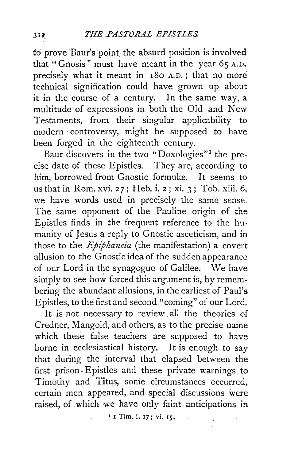fo prove Baur's point, the absurd position is involved that "Gnosis" must have meant in the year  $65$  A.D. precisely what it meant in 180 A.D.; that no more technical signification could have grown up about it in the course of a century. In the same way, a multitude of expressions in both the Old and New Testaments, from their singular applicability to modern ·controversy, might be supposed to have been forged in the eighteenth century.

Baur discovers in the two "Doxologies"<sup>1</sup> the precise date of these Epistles. They are, according to him, borrowed from Gnostic formulæ. It seems to us that in Rom. xvi. 27; Heb. i. 2; xi. 3; Toh. xiii. 6, we have words used in precisely the same sense. The same opponent of the Pauline origin of the Epistles finds in the frequent reference to the humanity of Jesus a reply to Gnostic asceticism, and in those to the *Epiphaneia* (the manifestation) a covert allusion to the Gnostic idea of the sudden appearance of our Lord in the synagogue of Galilee. \Ne have simply to see how forced this argument is, by remembering the abundant allusions, in the earliest of Paul's Epistles, to the first and second "coming" of our Lcrd.

It is not necessary to review all the theories of Credner, Mangold, and others, as to the precise name which these false teachers are supposed to have borne in ecclesiastical history. It is enough to say that during the interval that elapsed between the first prison-Epistles and these private warnings to Timothy and Titus, some circumstances occurred, certain men appeared, and special discussions were raised, of which we have only faint anticipations in

 $1 \tI$  I  $1 \tI$  Tim. i. 17; vi. 15.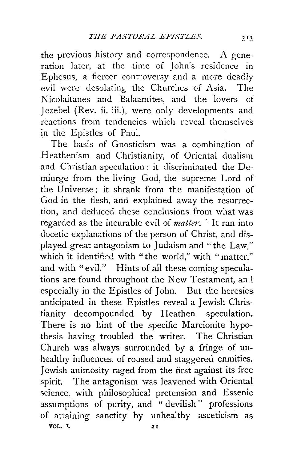the previous history and correspondence. A generation later, at the time of John's residence in Ephesus, a fiercer controversy and a more deadly evil were desolating the Churches of Asia. The Nicolaitanes and Balaamites, and the lovers of Jezebel (Rev. ii. iii.), were only developments and reactions from tendencies which reveal themselves in the Epistles of Paul.

The basis of Gnosticism was a combination of Heathenism and Christianity, of Oriental dualism and Christian speculation : it discriminated the Demiurge from the living God, the supreme Lord of the Universe; it shrank from the manifestation of God in the flesh, and explained away the resurrection, and deduced these conclusions from what was regarded as the incurable evil of *matter.* · It ran into docetic explanations of the person of Christ, and displayed great antagonism to Judaism and "the Law," which it identified with "the world," with "matter." and with "evil." Hints of all these coming speculations are found throughout the New Testament, and especially in the Epistles of John. But the heresies anticipated in these Epistles reveal a Jewish Christianity decompounded by Heathen speculation. There is no hint of the specific Marcionite hypothesis having troubled the writer. The Christian Church was always surrounded by a fringe of unhealthy influences, of roused and staggered enmities. Jewish animosity raged from the first against its free spirit. The antagonism was leavened with Oriental science, with philosophical pretension and Essenic assumptions of purity, and " devilish" professions of attaining sanctity by unhealthy asceticism as VOL.  $\sqrt{21}$